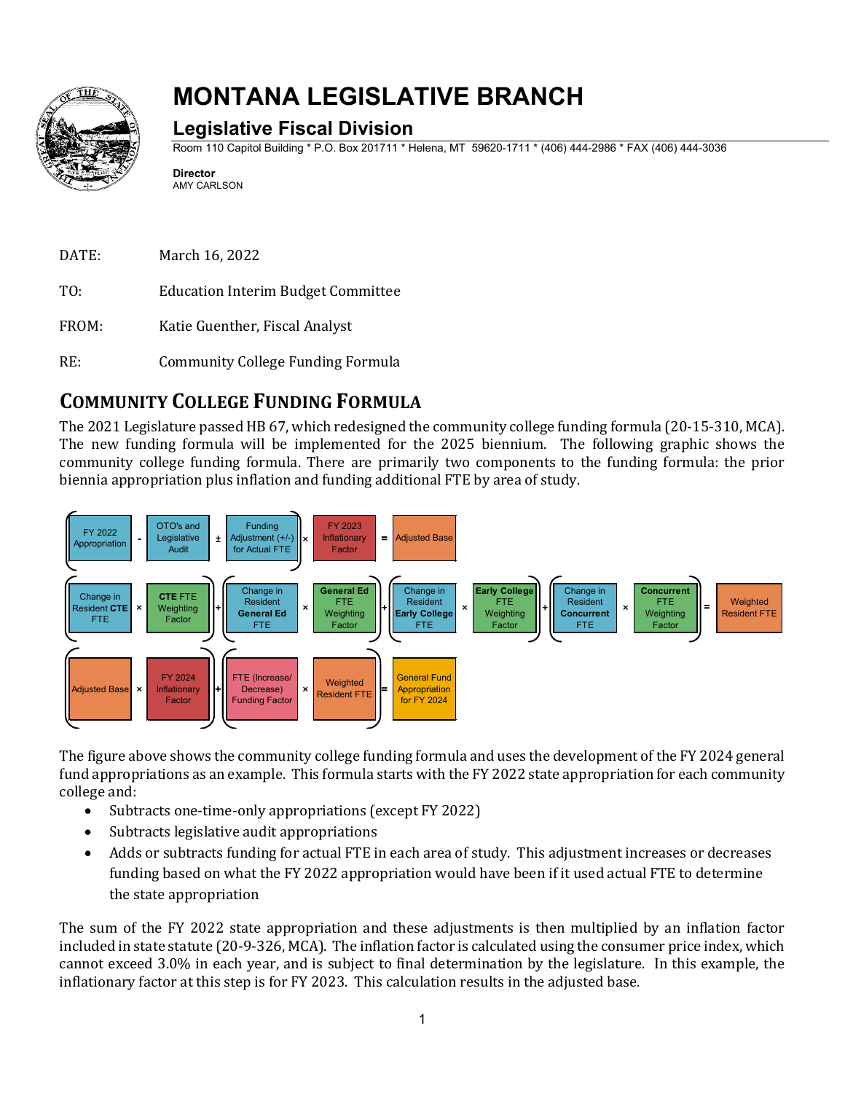

# **MONTANA LEGISLATIVE BRANCH**

## **Legislative Fiscal Division**

Room 110 Capitol Building \* P.O. Box 201711 \* Helena, MT 59620-1711 \* (406) 444-2986 \* FAX (406) 444-3036

**Director** AMY CARLSON

| DATE: | March 16, 2022                            |
|-------|-------------------------------------------|
| TO:   | <b>Education Interim Budget Committee</b> |
| FROM: | Katie Guenther, Fiscal Analyst            |
| RE:   | <b>Community College Funding Formula</b>  |

# **COMMUNITY COLLEGE FUNDING FORMULA**

The 2021 Legislature passed HB 67, which redesigned the community college funding formula (20-15-310, MCA). The new funding formula will be implemented for the 2025 biennium. The following graphic shows the community college funding formula. There are primarily two components to the funding formula: the prior biennia appropriation plus inflation and funding additional FTE by area of study.



The figure above shows the community college funding formula and uses the development of the FY 2024 general fund appropriations as an example. This formula starts with the FY 2022 state appropriation for each community college and:

- Subtracts one-time-only appropriations (except FY 2022)
- Subtracts legislative audit appropriations
- Adds or subtracts funding for actual FTE in each area of study. This adjustment increases or decreases funding based on what the FY 2022 appropriation would have been if it used actual FTE to determine the state appropriation

The sum of the FY 2022 state appropriation and these adjustments is then multiplied by an inflation factor included in state statute (20-9-326, MCA). The inflation factor is calculated using the consumer price index, which cannot exceed 3.0% in each year, and is subject to final determination by the legislature. In this example, the inflationary factor at this step is for FY 2023. This calculation results in the adjusted base.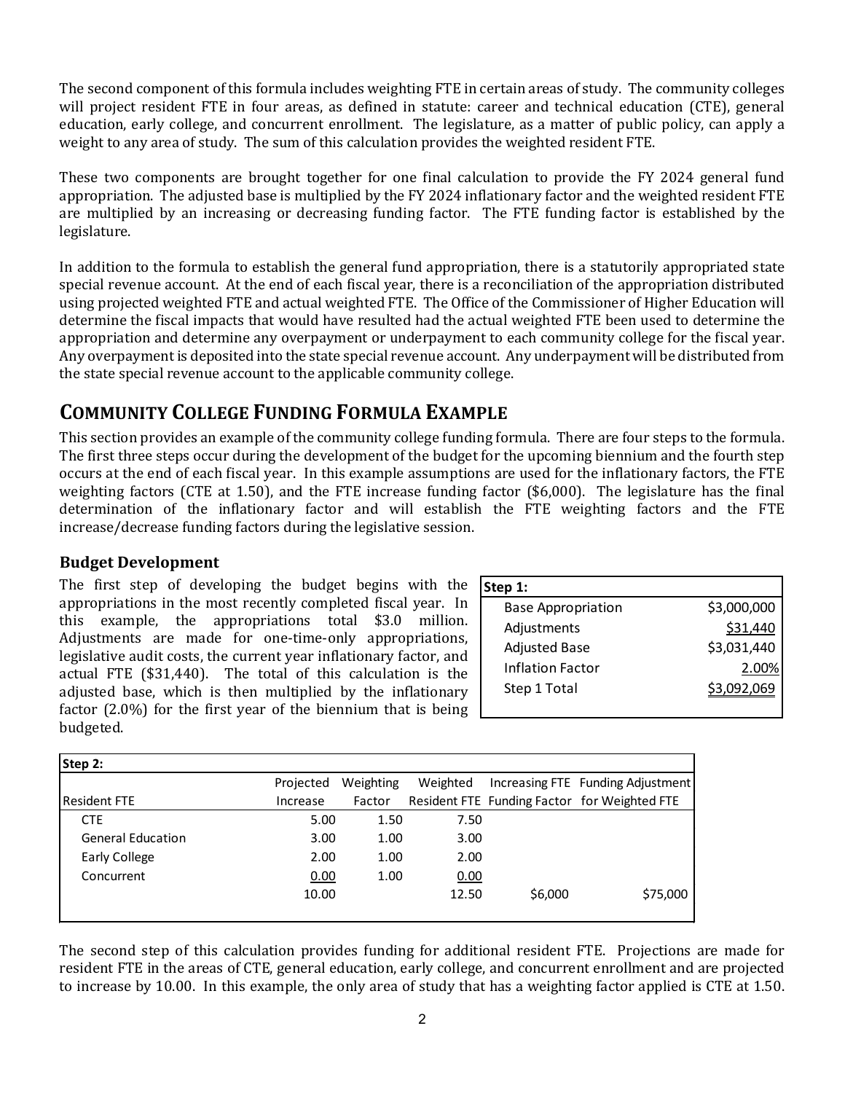The second component of this formula includes weighting FTE in certain areas of study. The community colleges will project resident FTE in four areas, as defined in statute: career and technical education (CTE), general education, early college, and concurrent enrollment. The legislature, as a matter of public policy, can apply a weight to any area of study. The sum of this calculation provides the weighted resident FTE.

These two components are brought together for one final calculation to provide the FY 2024 general fund appropriation. The adjusted base is multiplied by the FY 2024 inflationary factor and the weighted resident FTE are multiplied by an increasing or decreasing funding factor. The FTE funding factor is established by the legislature.

In addition to the formula to establish the general fund appropriation, there is a statutorily appropriated state special revenue account. At the end of each fiscal year, there is a reconciliation of the appropriation distributed using projected weighted FTE and actual weighted FTE. The Office of the Commissioner of Higher Education will determine the fiscal impacts that would have resulted had the actual weighted FTE been used to determine the appropriation and determine any overpayment or underpayment to each community college for the fiscal year. Any overpayment is deposited into the state special revenue account. Any underpayment will be distributed from the state special revenue account to the applicable community college.

## **COMMUNITY COLLEGE FUNDING FORMULA EXAMPLE**

This section provides an example of the community college funding formula. There are four steps to the formula. The first three steps occur during the development of the budget for the upcoming biennium and the fourth step occurs at the end of each fiscal year. In this example assumptions are used for the inflationary factors, the FTE weighting factors (CTE at 1.50), and the FTE increase funding factor (\$6,000). The legislature has the final determination of the inflationary factor and will establish the FTE weighting factors and the FTE increase/decrease funding factors during the legislative session.

#### **Budget Development**

The first step of developing the budget begins with the appropriations in the most recently completed fiscal year. In this example, the appropriations total \$3.0 million. Adjustments are made for one-time-only appropriations, legislative audit costs, the current year inflationary factor, and actual FTE (\$31,440). The total of this calculation is the adjusted base, which is then multiplied by the inflationary factor (2.0%) for the first year of the biennium that is being budgeted.

| \$3,000,000 |
|-------------|
| \$31,440    |
| \$3,031,440 |
| 2.00%       |
|             |
|             |

| Step 2:                  |           |           |          |         |                                              |
|--------------------------|-----------|-----------|----------|---------|----------------------------------------------|
|                          | Projected | Weighting | Weighted |         | Increasing FTE Funding Adjustment            |
| Resident FTE             | Increase  | Factor    |          |         | Resident FTE Funding Factor for Weighted FTE |
| <b>CTE</b>               | 5.00      | 1.50      | 7.50     |         |                                              |
| <b>General Education</b> | 3.00      | 1.00      | 3.00     |         |                                              |
| Early College            | 2.00      | 1.00      | 2.00     |         |                                              |
| Concurrent               | 0.00      | 1.00      | 0.00     |         |                                              |
|                          | 10.00     |           | 12.50    | \$6,000 | \$75,000                                     |
|                          |           |           |          |         |                                              |

The second step of this calculation provides funding for additional resident FTE. Projections are made for resident FTE in the areas of CTE, general education, early college, and concurrent enrollment and are projected to increase by 10.00. In this example, the only area of study that has a weighting factor applied is CTE at 1.50.